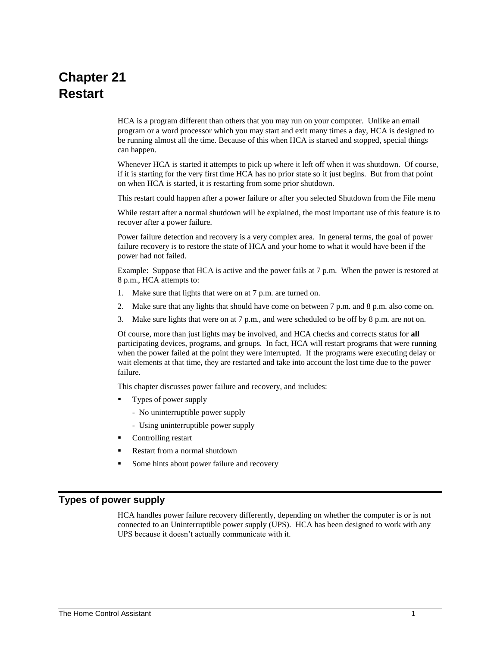# **Chapter 21 Restart**

HCA is a program different than others that you may run on your computer. Unlike an email program or a word processor which you may start and exit many times a day, HCA is designed to be running almost all the time. Because of this when HCA is started and stopped, special things can happen.

Whenever HCA is started it attempts to pick up where it left off when it was shutdown. Of course, if it is starting for the very first time HCA has no prior state so it just begins. But from that point on when HCA is started, it is restarting from some prior shutdown.

This restart could happen after a power failure or after you selected Shutdown from the File menu

While restart after a normal shutdown will be explained, the most important use of this feature is to recover after a power failure.

Power failure detection and recovery is a very complex area. In general terms, the goal of power failure recovery is to restore the state of HCA and your home to what it would have been if the power had not failed.

Example: Suppose that HCA is active and the power fails at 7 p.m. When the power is restored at 8 p.m., HCA attempts to:

- 1. Make sure that lights that were on at 7 p.m. are turned on.
- 2. Make sure that any lights that should have come on between 7 p.m. and 8 p.m. also come on.
- 3. Make sure lights that were on at 7 p.m., and were scheduled to be off by 8 p.m. are not on.

Of course, more than just lights may be involved, and HCA checks and corrects status for **all** participating devices, programs, and groups. In fact, HCA will restart programs that were running when the power failed at the point they were interrupted. If the programs were executing delay or wait elements at that time, they are restarted and take into account the lost time due to the power failure.

This chapter discusses power failure and recovery, and includes:

- Types of power supply
	- No uninterruptible power supply
	- Using uninterruptible power supply
- Controlling restart
- Restart from a normal shutdown
- Some hints about power failure and recovery

## **Types of power supply**

HCA handles power failure recovery differently, depending on whether the computer is or is not connected to an Uninterruptible power supply (UPS). HCA has been designed to work with any UPS because it doesn't actually communicate with it.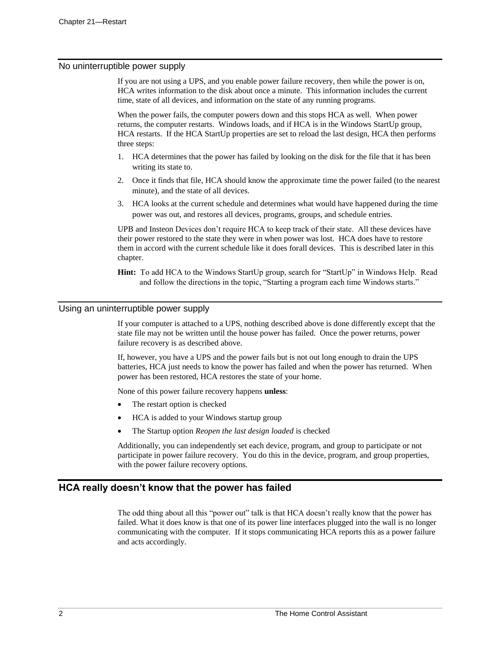#### No uninterruptible power supply

If you are not using a UPS, and you enable power failure recovery, then while the power is on, HCA writes information to the disk about once a minute. This information includes the current time, state of all devices, and information on the state of any running programs.

When the power fails, the computer powers down and this stops HCA as well. When power returns, the computer restarts. Windows loads, and if HCA is in the Windows StartUp group, HCA restarts. If the HCA StartUp properties are set to reload the last design, HCA then performs three steps:

- 1. HCA determines that the power has failed by looking on the disk for the file that it has been writing its state to.
- 2. Once it finds that file, HCA should know the approximate time the power failed (to the nearest minute), and the state of all devices.
- 3. HCA looks at the current schedule and determines what would have happened during the time power was out, and restores all devices, programs, groups, and schedule entries.

UPB and Insteon Devices don't require HCA to keep track of their state. All these devices have their power restored to the state they were in when power was lost. HCA does have to restore them in accord with the current schedule like it does forall devices. This is described later in this chapter.

**Hint:** To add HCA to the Windows StartUp group, search for "StartUp" in Windows Help. Read and follow the directions in the topic, "Starting a program each time Windows starts."

#### Using an uninterruptible power supply

If your computer is attached to a UPS, nothing described above is done differently except that the state file may not be written until the house power has failed. Once the power returns, power failure recovery is as described above.

If, however, you have a UPS and the power fails but is not out long enough to drain the UPS batteries, HCA just needs to know the power has failed and when the power has returned. When power has been restored, HCA restores the state of your home.

None of this power failure recovery happens **unless**:

- The restart option is checked
- HCA is added to your Windows startup group
- The Startup option *Reopen the last design loaded* is checked

Additionally, you can independently set each device, program, and group to participate or not participate in power failure recovery. You do this in the device, program, and group properties, with the power failure recovery options.

## **HCA really doesn't know that the power has failed**

The odd thing about all this "power out" talk is that HCA doesn't really know that the power has failed. What it does know is that one of its power line interfaces plugged into the wall is no longer communicating with the computer. If it stops communicating HCA reports this as a power failure and acts accordingly.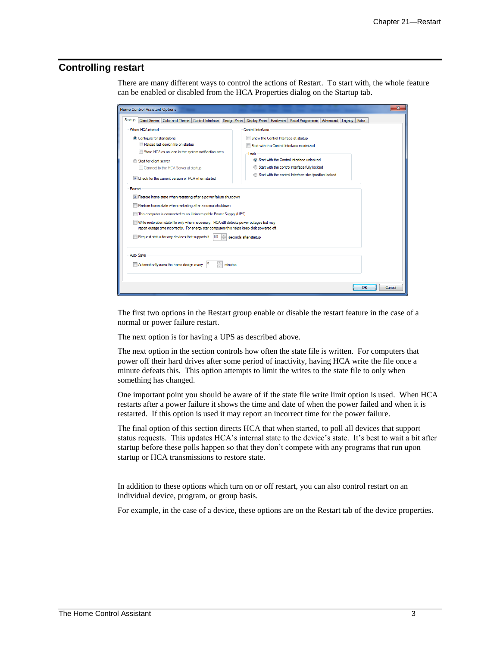# **Controlling restart**

There are many different ways to control the actions of Restart. To start with, the whole feature can be enabled or disabled from the HCA Properties dialog on the Startup tab.

| Home Control Assistant Options                                                                                                                                                           | x                                                                                                                                                             |  |  |
|------------------------------------------------------------------------------------------------------------------------------------------------------------------------------------------|---------------------------------------------------------------------------------------------------------------------------------------------------------------|--|--|
| Startup<br>Color and Theme<br>Control Interface<br><b>Design Pane</b><br><b>Client Server</b>                                                                                            | <b>Display Pane</b><br>Hardware<br>Visual Programmer<br>Advanced<br>Extra<br>Legacy                                                                           |  |  |
| When HCA started<br>Configure for standalone<br>Reload last design file on startup<br>Store HCA as an icon in the system notification area<br>Start for client-server                    | Control Interface<br>Show the Control Interface at startup<br>Start with the Control Interface maximized<br>Lock<br>Start with the Control Interface unlocked |  |  |
| Connect to the HCA Server at startup                                                                                                                                                     | Start with the control interface fully locked                                                                                                                 |  |  |
| To Check for the current version of HCA when started                                                                                                                                     | Start with the control interface size/position locked                                                                                                         |  |  |
| Restart                                                                                                                                                                                  |                                                                                                                                                               |  |  |
| V Restore home state when restarting after a power failure shutdown                                                                                                                      |                                                                                                                                                               |  |  |
| Restore home state when restarting after a normal shutdown                                                                                                                               |                                                                                                                                                               |  |  |
| This computer is connected to an Uninterruptible Power Supply (UPS)                                                                                                                      |                                                                                                                                                               |  |  |
| Write restoration state file only when necessary. HCA still detects power outages but may<br>report outage time incorrectly. For energy star computers this helps keep disk powered off. |                                                                                                                                                               |  |  |
| Request status for any devices that supports it<br>60<br>seconds after startup                                                                                                           |                                                                                                                                                               |  |  |
| <b>Auto Save</b>                                                                                                                                                                         |                                                                                                                                                               |  |  |
| $\frac{1}{x}$<br>Automatically save the home design every<br>15<br>minutes                                                                                                               |                                                                                                                                                               |  |  |
|                                                                                                                                                                                          | OK<br>Cancel                                                                                                                                                  |  |  |

The first two options in the Restart group enable or disable the restart feature in the case of a normal or power failure restart.

The next option is for having a UPS as described above.

The next option in the section controls how often the state file is written. For computers that power off their hard drives after some period of inactivity, having HCA write the file once a minute defeats this. This option attempts to limit the writes to the state file to only when something has changed.

One important point you should be aware of if the state file write limit option is used. When HCA restarts after a power failure it shows the time and date of when the power failed and when it is restarted. If this option is used it may report an incorrect time for the power failure.

The final option of this section directs HCA that when started, to poll all devices that support status requests. This updates HCA's internal state to the device's state. It's best to wait a bit after startup before these polls happen so that they don't compete with any programs that run upon startup or HCA transmissions to restore state.

In addition to these options which turn on or off restart, you can also control restart on an individual device, program, or group basis.

For example, in the case of a device, these options are on the Restart tab of the device properties.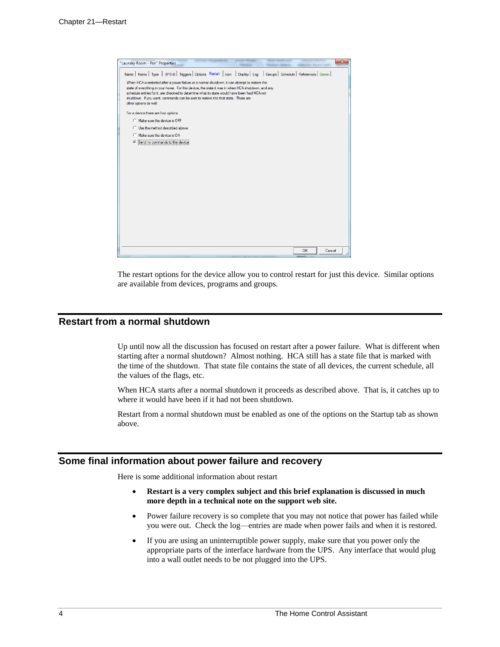| "Laundry Room - Fan" Properties                                                                                                                                                                                                                                                                                                                                                                                      |           | $\mathbf{x}$ |
|----------------------------------------------------------------------------------------------------------------------------------------------------------------------------------------------------------------------------------------------------------------------------------------------------------------------------------------------------------------------------------------------------------------------|-----------|--------------|
| Name Notes   Type   UPB Id   Triggers   Options Restart   Icon   Display   Log   Groups   Schedule   References   Green                                                                                                                                                                                                                                                                                              |           |              |
| When HCA is restarted after a power failure or a normal shutdown, it can attempt to restore the<br>state of everything in your home. For this device, the state it was in when HCA shutdown, and any<br>schedule entries for it, are checked to determine what its state would have been had HCA not<br>shutdown. If you want, commands can be sent to restore it to that state. There are<br>other options as well. |           |              |
| For a device there are four options                                                                                                                                                                                                                                                                                                                                                                                  |           |              |
| C Make sure the device is OFF                                                                                                                                                                                                                                                                                                                                                                                        |           |              |
| C. Use the method described above                                                                                                                                                                                                                                                                                                                                                                                    |           |              |
| C Make sure the device is ON                                                                                                                                                                                                                                                                                                                                                                                         |           |              |
| G Send no commands to this device                                                                                                                                                                                                                                                                                                                                                                                    |           |              |
|                                                                                                                                                                                                                                                                                                                                                                                                                      |           |              |
|                                                                                                                                                                                                                                                                                                                                                                                                                      |           |              |
|                                                                                                                                                                                                                                                                                                                                                                                                                      |           |              |
|                                                                                                                                                                                                                                                                                                                                                                                                                      |           |              |
|                                                                                                                                                                                                                                                                                                                                                                                                                      |           |              |
|                                                                                                                                                                                                                                                                                                                                                                                                                      |           |              |
|                                                                                                                                                                                                                                                                                                                                                                                                                      |           |              |
|                                                                                                                                                                                                                                                                                                                                                                                                                      |           |              |
|                                                                                                                                                                                                                                                                                                                                                                                                                      |           |              |
|                                                                                                                                                                                                                                                                                                                                                                                                                      |           |              |
|                                                                                                                                                                                                                                                                                                                                                                                                                      |           |              |
|                                                                                                                                                                                                                                                                                                                                                                                                                      | <b>OK</b> | Cancel       |

The restart options for the device allow you to control restart for just this device. Similar options are available from devices, programs and groups.

# **Restart from a normal shutdown**

Up until now all the discussion has focused on restart after a power failure. What is different when starting after a normal shutdown? Almost nothing. HCA still has a state file that is marked with the time of the shutdown. That state file contains the state of all devices, the current schedule, all the values of the flags, etc.

When HCA starts after a normal shutdown it proceeds as described above. That is, it catches up to where it would have been if it had not been shutdown.

Restart from a normal shutdown must be enabled as one of the options on the Startup tab as shown above.

### **Some final information about power failure and recovery**

Here is some additional information about restart

- **Restart is a very complex subject and this brief explanation is discussed in much more depth in a technical note on the support web site.**
- Power failure recovery is so complete that you may not notice that power has failed while you were out. Check the log—entries are made when power fails and when it is restored.
- If you are using an uninterruptible power supply, make sure that you power only the appropriate parts of the interface hardware from the UPS. Any interface that would plug into a wall outlet needs to be not plugged into the UPS.